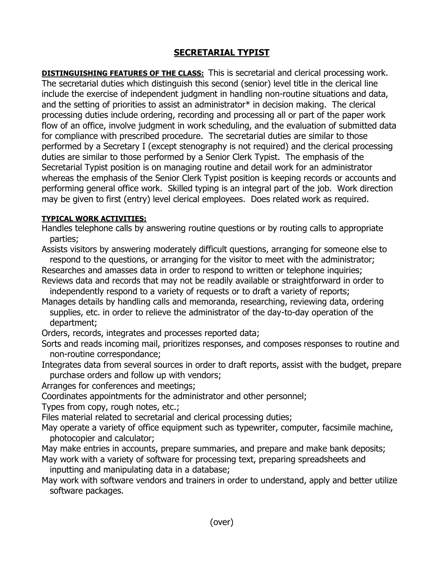## **SECRETARIAL TYPIST**

**DISTINGUISHING FEATURES OF THE CLASS:** This is secretarial and clerical processing work. The secretarial duties which distinguish this second (senior) level title in the clerical line include the exercise of independent judgment in handling non-routine situations and data, and the setting of priorities to assist an administrator\* in decision making. The clerical processing duties include ordering, recording and processing all or part of the paper work flow of an office, involve judgment in work scheduling, and the evaluation of submitted data for compliance with prescribed procedure. The secretarial duties are similar to those performed by a Secretary I (except stenography is not required) and the clerical processing duties are similar to those performed by a Senior Clerk Typist. The emphasis of the Secretarial Typist position is on managing routine and detail work for an administrator whereas the emphasis of the Senior Clerk Typist position is keeping records or accounts and performing general office work. Skilled typing is an integral part of the job. Work direction may be given to first (entry) level clerical employees. Does related work as required.

## **TYPICAL WORK ACTIVITIES:**

Handles telephone calls by answering routine questions or by routing calls to appropriate parties;

Assists visitors by answering moderately difficult questions, arranging for someone else to respond to the questions, or arranging for the visitor to meet with the administrator;

Researches and amasses data in order to respond to written or telephone inquiries; Reviews data and records that may not be readily available or straightforward in order to

independently respond to a variety of requests or to draft a variety of reports;

Manages details by handling calls and memoranda, researching, reviewing data, ordering supplies, etc. in order to relieve the administrator of the day-to-day operation of the department;

Orders, records, integrates and processes reported data;

- Sorts and reads incoming mail, prioritizes responses, and composes responses to routine and non-routine correspondance;
- Integrates data from several sources in order to draft reports, assist with the budget, prepare purchase orders and follow up with vendors;

Arranges for conferences and meetings;

Coordinates appointments for the administrator and other personnel;

Types from copy, rough notes, etc.;

Files material related to secretarial and clerical processing duties;

May operate a variety of office equipment such as typewriter, computer, facsimile machine, photocopier and calculator;

- May make entries in accounts, prepare summaries, and prepare and make bank deposits;
- May work with a variety of software for processing text, preparing spreadsheets and inputting and manipulating data in a database;

May work with software vendors and trainers in order to understand, apply and better utilize software packages.